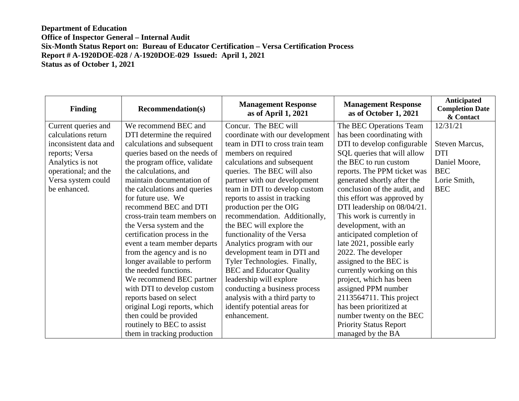| <b>Finding</b>        | <b>Recommendation(s)</b>      | <b>Management Response</b><br>as of April 1, 2021 | <b>Management Response</b><br>as of October 1, 2021 | Anticipated<br><b>Completion Date</b><br>& Contact |
|-----------------------|-------------------------------|---------------------------------------------------|-----------------------------------------------------|----------------------------------------------------|
| Current queries and   | We recommend BEC and          | Concur. The BEC will                              | The BEC Operations Team                             | 12/31/21                                           |
| calculations return   | DTI determine the required    | coordinate with our development                   | has been coordinating with                          |                                                    |
| inconsistent data and | calculations and subsequent   | team in DTI to cross train team                   | DTI to develop configurable                         | Steven Marcus,                                     |
| reports; Versa        | queries based on the needs of | members on required                               | SQL queries that will allow                         | <b>DTI</b>                                         |
| Analytics is not      | the program office, validate  | calculations and subsequent                       | the BEC to run custom                               | Daniel Moore,                                      |
| operational; and the  | the calculations, and         | queries. The BEC will also                        | reports. The PPM ticket was                         | <b>BEC</b>                                         |
| Versa system could    | maintain documentation of     | partner with our development                      | generated shortly after the                         | Lorie Smith,                                       |
| be enhanced.          | the calculations and queries  | team in DTI to develop custom                     | conclusion of the audit, and                        | <b>BEC</b>                                         |
|                       | for future use. We            | reports to assist in tracking                     | this effort was approved by                         |                                                    |
|                       | recommend BEC and DTI         | production per the OIG                            | DTI leadership on 08/04/21.                         |                                                    |
|                       | cross-train team members on   | recommendation. Additionally,                     | This work is currently in                           |                                                    |
|                       | the Versa system and the      | the BEC will explore the                          | development, with an                                |                                                    |
|                       | certification process in the  | functionality of the Versa                        | anticipated completion of                           |                                                    |
|                       | event a team member departs   | Analytics program with our                        | late 2021, possible early                           |                                                    |
|                       | from the agency and is no     | development team in DTI and                       | 2022. The developer                                 |                                                    |
|                       | longer available to perform   | Tyler Technologies. Finally,                      | assigned to the BEC is                              |                                                    |
|                       | the needed functions.         | <b>BEC</b> and Educator Quality                   | currently working on this                           |                                                    |
|                       | We recommend BEC partner      | leadership will explore                           | project, which has been                             |                                                    |
|                       | with DTI to develop custom    | conducting a business process                     | assigned PPM number                                 |                                                    |
|                       | reports based on select       | analysis with a third party to                    | 2113564711. This project                            |                                                    |
|                       | original Logi reports, which  | identify potential areas for                      | has been prioritized at                             |                                                    |
|                       | then could be provided        | enhancement.                                      | number twenty on the BEC                            |                                                    |
|                       | routinely to BEC to assist    |                                                   | <b>Priority Status Report</b>                       |                                                    |
|                       | them in tracking production   |                                                   | managed by the BA                                   |                                                    |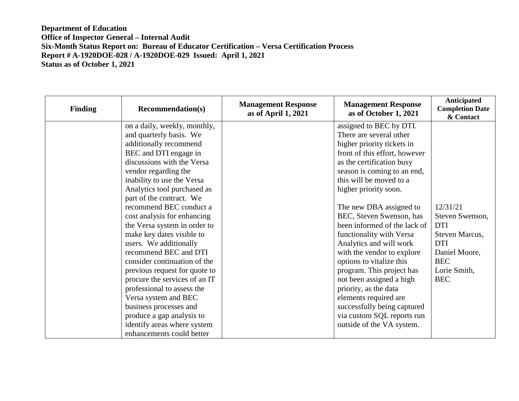| <b>Finding</b> | <b>Recommendation(s)</b>                                                                                                                                                                                                                                                                                                                                                                                                                                                                                                                                                                                                                                                          | <b>Management Response</b><br>as of April 1, 2021 | <b>Management Response</b><br>as of October 1, 2021                                                                                                                                                                                                                                                                                                                                                                                                                                                                                                                                                                                            | Anticipated<br><b>Completion Date</b><br>& Contact                                                                                     |
|----------------|-----------------------------------------------------------------------------------------------------------------------------------------------------------------------------------------------------------------------------------------------------------------------------------------------------------------------------------------------------------------------------------------------------------------------------------------------------------------------------------------------------------------------------------------------------------------------------------------------------------------------------------------------------------------------------------|---------------------------------------------------|------------------------------------------------------------------------------------------------------------------------------------------------------------------------------------------------------------------------------------------------------------------------------------------------------------------------------------------------------------------------------------------------------------------------------------------------------------------------------------------------------------------------------------------------------------------------------------------------------------------------------------------------|----------------------------------------------------------------------------------------------------------------------------------------|
|                | on a daily, weekly, monthly,<br>and quarterly basis. We<br>additionally recommend<br>BEC and DTI engage in<br>discussions with the Versa<br>vendor regarding the<br>inability to use the Versa<br>Analytics tool purchased as<br>part of the contract. We<br>recommend BEC conduct a<br>cost analysis for enhancing<br>the Versa system in order to<br>make key dates visible to<br>users. We additionally<br>recommend BEC and DTI<br>consider continuation of the<br>previous request for quote to<br>procure the services of an IT<br>professional to assess the<br>Versa system and BEC<br>business processes and<br>produce a gap analysis to<br>identify areas where system |                                                   | assigned to BEC by DTI.<br>There are several other<br>higher priority tickets in<br>front of this effort, however<br>as the certification busy<br>season is coming to an end,<br>this will be moved to a<br>higher priority soon.<br>The new DBA assigned to<br>BEC, Steven Swenson, has<br>been informed of the lack of<br>functionality with Versa<br>Analytics and will work<br>with the vendor to explore<br>options to vitalize this<br>program. This project has<br>not been assigned a high<br>priority, as the data<br>elements required are<br>successfully being captured<br>via custom SQL reports run<br>outside of the VA system. | 12/31/21<br>Steven Swenson,<br><b>DTI</b><br>Steven Marcus,<br><b>DTI</b><br>Daniel Moore,<br><b>BEC</b><br>Lorie Smith,<br><b>BEC</b> |
|                | enhancements could better                                                                                                                                                                                                                                                                                                                                                                                                                                                                                                                                                                                                                                                         |                                                   |                                                                                                                                                                                                                                                                                                                                                                                                                                                                                                                                                                                                                                                |                                                                                                                                        |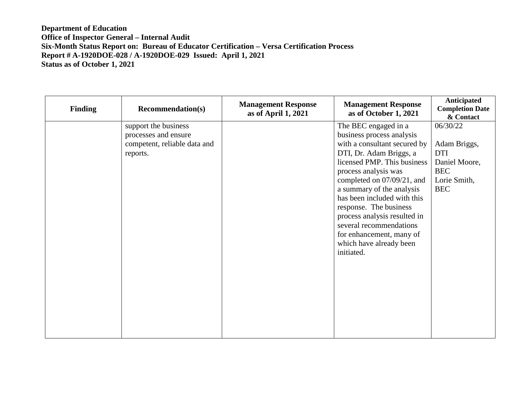| <b>Finding</b> | <b>Recommendation(s)</b>     | <b>Management Response</b><br>as of April 1, 2021 | <b>Management Response</b><br>as of October 1, 2021 | Anticipated<br><b>Completion Date</b><br>& Contact |
|----------------|------------------------------|---------------------------------------------------|-----------------------------------------------------|----------------------------------------------------|
|                | support the business         |                                                   | The BEC engaged in a                                | 06/30/22                                           |
|                | processes and ensure         |                                                   | business process analysis                           |                                                    |
|                | competent, reliable data and |                                                   | with a consultant secured by                        | Adam Briggs,                                       |
|                | reports.                     |                                                   | DTI, Dr. Adam Briggs, a                             | <b>DTI</b>                                         |
|                |                              |                                                   | licensed PMP. This business                         | Daniel Moore,                                      |
|                |                              |                                                   | process analysis was                                | <b>BEC</b>                                         |
|                |                              |                                                   | completed on 07/09/21, and                          | Lorie Smith,                                       |
|                |                              |                                                   | a summary of the analysis                           | <b>BEC</b>                                         |
|                |                              |                                                   | has been included with this                         |                                                    |
|                |                              |                                                   | response. The business                              |                                                    |
|                |                              |                                                   | process analysis resulted in                        |                                                    |
|                |                              |                                                   | several recommendations                             |                                                    |
|                |                              |                                                   | for enhancement, many of                            |                                                    |
|                |                              |                                                   | which have already been                             |                                                    |
|                |                              |                                                   | initiated.                                          |                                                    |
|                |                              |                                                   |                                                     |                                                    |
|                |                              |                                                   |                                                     |                                                    |
|                |                              |                                                   |                                                     |                                                    |
|                |                              |                                                   |                                                     |                                                    |
|                |                              |                                                   |                                                     |                                                    |
|                |                              |                                                   |                                                     |                                                    |
|                |                              |                                                   |                                                     |                                                    |
|                |                              |                                                   |                                                     |                                                    |
|                |                              |                                                   |                                                     |                                                    |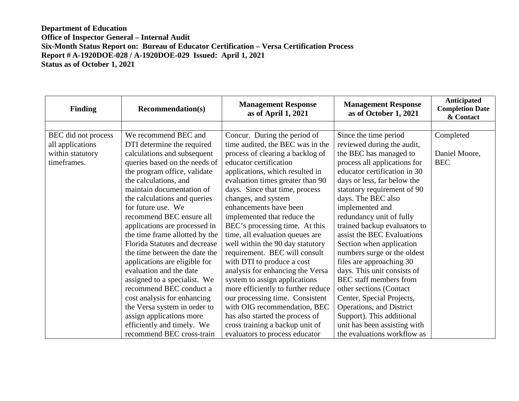| <b>Finding</b>      | <b>Recommendation(s)</b>       | <b>Management Response</b><br>as of April 1, 2021 | <b>Management Response</b><br>as of October 1, 2021 | Anticipated<br><b>Completion Date</b><br>& Contact |
|---------------------|--------------------------------|---------------------------------------------------|-----------------------------------------------------|----------------------------------------------------|
|                     |                                |                                                   |                                                     |                                                    |
| BEC did not process | We recommend BEC and           | Concur. During the period of                      | Since the time period                               | Completed                                          |
| all applications    | DTI determine the required     | time audited, the BEC was in the                  | reviewed during the audit,                          |                                                    |
| within statutory    | calculations and subsequent    | process of clearing a backlog of                  | the BEC has managed to                              | Daniel Moore,                                      |
| timeframes.         | queries based on the needs of  | educator certification                            | process all applications for                        | <b>BEC</b>                                         |
|                     | the program office, validate   | applications, which resulted in                   | educator certification in 30                        |                                                    |
|                     | the calculations, and          | evaluation times greater than 90                  | days or less, far below the                         |                                                    |
|                     | maintain documentation of      | days. Since that time, process                    | statutory requirement of 90                         |                                                    |
|                     | the calculations and queries   | changes, and system                               | days. The BEC also                                  |                                                    |
|                     | for future use. We             | enhancements have been                            | implemented and                                     |                                                    |
|                     | recommend BEC ensure all       | implemented that reduce the                       | redundancy unit of fully                            |                                                    |
|                     | applications are processed in  | BEC's processing time. At this                    | trained backup evaluators to                        |                                                    |
|                     | the time frame allotted by the | time, all evaluation queues are                   | assist the BEC Evaluations                          |                                                    |
|                     | Florida Statutes and decrease  | well within the 90 day statutory                  | Section when application                            |                                                    |
|                     | the time between the date the  | requirement. BEC will consult                     | numbers surge or the oldest                         |                                                    |
|                     | applications are eligible for  | with DTI to produce a cost                        | files are approaching 30                            |                                                    |
|                     | evaluation and the date        | analysis for enhancing the Versa                  | days. This unit consists of                         |                                                    |
|                     | assigned to a specialist. We   | system to assign applications                     | <b>BEC</b> staff members from                       |                                                    |
|                     | recommend BEC conduct a        | more efficiently to further reduce                | other sections (Contact                             |                                                    |
|                     | cost analysis for enhancing    | our processing time. Consistent                   | Center, Special Projects,                           |                                                    |
|                     | the Versa system in order to   | with OIG recommendation, BEC                      | Operations, and District                            |                                                    |
|                     | assign applications more       | has also started the process of                   | Support). This additional                           |                                                    |
|                     | efficiently and timely. We     | cross training a backup unit of                   | unit has been assisting with                        |                                                    |
|                     | recommend BEC cross-train      | evaluators to process educator                    | the evaluations workflow as                         |                                                    |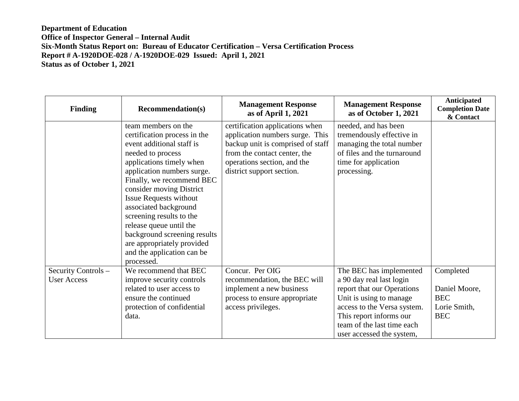| <b>Finding</b>                            | <b>Recommendation(s)</b>                                                                                                                                                                                                                                                                                                                                                                                                                            | <b>Management Response</b><br>as of April 1, 2021                                                                                                                                                   | <b>Management Response</b><br>as of October 1, 2021                                                                                                                                                                               | <b>Anticipated</b><br><b>Completion Date</b><br>& Contact              |
|-------------------------------------------|-----------------------------------------------------------------------------------------------------------------------------------------------------------------------------------------------------------------------------------------------------------------------------------------------------------------------------------------------------------------------------------------------------------------------------------------------------|-----------------------------------------------------------------------------------------------------------------------------------------------------------------------------------------------------|-----------------------------------------------------------------------------------------------------------------------------------------------------------------------------------------------------------------------------------|------------------------------------------------------------------------|
|                                           | team members on the<br>certification process in the<br>event additional staff is<br>needed to process<br>applications timely when<br>application numbers surge.<br>Finally, we recommend BEC<br>consider moving District<br><b>Issue Requests without</b><br>associated background<br>screening results to the<br>release queue until the<br>background screening results<br>are appropriately provided<br>and the application can be<br>processed. | certification applications when<br>application numbers surge. This<br>backup unit is comprised of staff<br>from the contact center, the<br>operations section, and the<br>district support section. | needed, and has been<br>tremendously effective in<br>managing the total number<br>of files and the turnaround<br>time for application<br>processing.                                                                              |                                                                        |
| Security Controls -<br><b>User Access</b> | We recommend that BEC<br>improve security controls<br>related to user access to<br>ensure the continued<br>protection of confidential<br>data.                                                                                                                                                                                                                                                                                                      | Concur. Per OIG<br>recommendation, the BEC will<br>implement a new business<br>process to ensure appropriate<br>access privileges.                                                                  | The BEC has implemented<br>a 90 day real last login<br>report that our Operations<br>Unit is using to manage<br>access to the Versa system.<br>This report informs our<br>team of the last time each<br>user accessed the system, | Completed<br>Daniel Moore,<br><b>BEC</b><br>Lorie Smith,<br><b>BEC</b> |